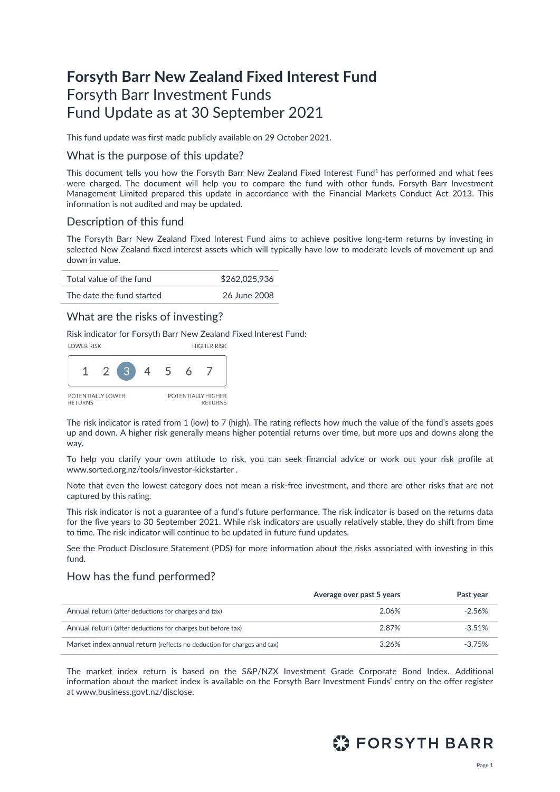# **Forsyth Barr New Zealand Fixed Interest Fund** Forsyth Barr Investment Funds Fund Update as at 30 September 2021

This fund update was first made publicly available on 29 October 2021.

#### What is the purpose of this update?

This document tells you how the Forsyth Barr New Zealand Fixed Interest Fund<sup>1</sup> has performed and what fees were charged. The document will help you to compare the fund with other funds. Forsyth Barr Investment Management Limited prepared this update in accordance with the Financial Markets Conduct Act 2013. This information is not audited and may be updated.

### Description of this fund

The Forsyth Barr New Zealand Fixed Interest Fund aims to achieve positive long-term returns by investing in selected New Zealand fixed interest assets which will typically have low to moderate levels of movement up and down in value.

| Total value of the fund   | \$262,025,936 |
|---------------------------|---------------|
| The date the fund started | 26 June 2008  |

### What are the risks of investing?

Risk indicator for Forsyth Barr New Zealand Fixed Interest Fund:



The risk indicator is rated from 1 (low) to 7 (high). The rating reflects how much the value of the fund's assets goes up and down. A higher risk generally means higher potential returns over time, but more ups and downs along the way.

To help you clarify your own attitude to risk, you can seek financial advice or work out your risk profile at [www.sorted.org.nz/tools/investor-kickstarter](http://www.sorted.org.nz/tools/investor-kickstarter) .

Note that even the lowest category does not mean a risk-free investment, and there are other risks that are not captured by this rating.

This risk indicator is not a guarantee of a fund's future performance. The risk indicator is based on the returns data for the five years to 30 September 2021. While risk indicators are usually relatively stable, they do shift from time to time. The risk indicator will continue to be updated in future fund updates.

See the Product Disclosure Statement (PDS) for more information about the risks associated with investing in this fund.

### How has the fund performed?

|                                                                        | Average over past 5 years | Past year |
|------------------------------------------------------------------------|---------------------------|-----------|
| Annual return (after deductions for charges and tax)                   | 2.06%                     | $-2.56\%$ |
| Annual return (after deductions for charges but before tax)            | 2.87%                     | $-3.51%$  |
| Market index annual return (reflects no deduction for charges and tax) | 3.26%                     | $-3.75%$  |

The market index return is based on the S&P/NZX Investment Grade Corporate Bond Index. Additional information about the market index is available on the Forsyth Barr Investment Funds' entry on the offer register at [www.business.govt.nz/disclose.](http://www.business.govt.nz/disclose)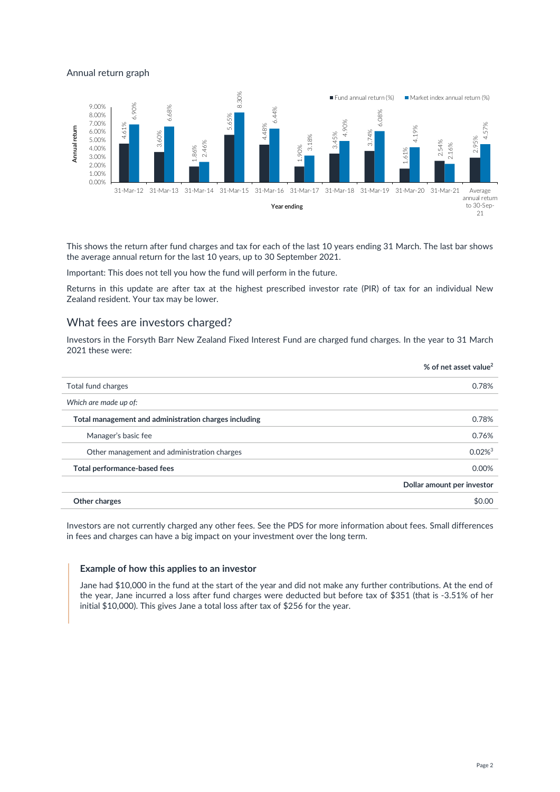#### Annual return graph



This shows the return after fund charges and tax for each of the last 10 years ending 31 March. The last bar shows the average annual return for the last 10 years, up to 30 September 2021.

Important: This does not tell you how the fund will perform in the future.

Returns in this update are after tax at the highest prescribed investor rate (PIR) of tax for an individual New Zealand resident. Your tax may be lower.

### What fees are investors charged?

Investors in the Forsyth Barr New Zealand Fixed Interest Fund are charged fund charges. In the year to 31 March 2021 these were:

|                                                       | % of net asset value <sup>2</sup> |
|-------------------------------------------------------|-----------------------------------|
| Total fund charges                                    | 0.78%                             |
| Which are made up of:                                 |                                   |
| Total management and administration charges including | 0.78%                             |
| Manager's basic fee                                   | 0.76%                             |
| Other management and administration charges           | $0.02\%$ <sup>3</sup>             |
| Total performance-based fees                          | 0.00%                             |
|                                                       | Dollar amount per investor        |
| Other charges                                         | \$0.00                            |

Investors are not currently charged any other fees. See the PDS for more information about fees. Small differences in fees and charges can have a big impact on your investment over the long term.

#### **Example of how this applies to an investor**

Jane had \$10,000 in the fund at the start of the year and did not make any further contributions. At the end of the year, Jane incurred a loss after fund charges were deducted but before tax of \$351 (that is -3.51% of her initial \$10,000). This gives Jane a total loss after tax of \$256 for the year.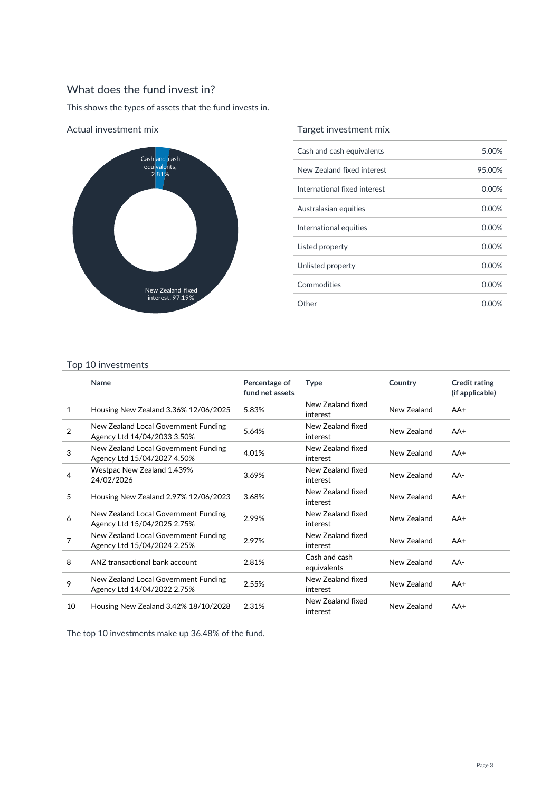## What does the fund invest in?

This shows the types of assets that the fund invests in.



Actual investment mix

### Target investment mix

| Cash and cash equivalents    | 5.00%    |
|------------------------------|----------|
| New Zealand fixed interest   | 95.00%   |
| International fixed interest | 0.00%    |
| Australasian equities        | 0.00%    |
| International equities       | $0.00\%$ |
| Listed property              | $0.00\%$ |
| Unlisted property            | $0.00\%$ |
| Commodities                  | 0.00%    |
| Other                        | 0.00%    |

#### Top 10 investments

|                | Name                                                                | Percentage of<br>fund net assets | <b>Type</b>                   | Country     | <b>Credit rating</b><br>(if applicable) |
|----------------|---------------------------------------------------------------------|----------------------------------|-------------------------------|-------------|-----------------------------------------|
| 1              | Housing New Zealand 3.36% 12/06/2025                                | 5.83%                            | New Zealand fixed<br>interest | New Zealand | $AA+$                                   |
| $\overline{2}$ | New Zealand Local Government Funding<br>Agency Ltd 14/04/2033 3.50% | 5.64%                            | New Zealand fixed<br>interest | New Zealand | $AA+$                                   |
| 3              | New Zealand Local Government Funding<br>Agency Ltd 15/04/2027 4.50% | 4.01%                            | New Zealand fixed<br>interest | New Zealand | $AA+$                                   |
| 4              | Westpac New Zealand 1.439%<br>24/02/2026                            | 3.69%                            | New Zealand fixed<br>interest | New Zealand | AA-                                     |
| 5              | Housing New Zealand 2.97% 12/06/2023                                | 3.68%                            | New Zealand fixed<br>interest | New Zealand | $AA+$                                   |
| 6              | New Zealand Local Government Funding<br>Agency Ltd 15/04/2025 2.75% | 2.99%                            | New Zealand fixed<br>interest | New Zealand | $AA+$                                   |
| 7              | New Zealand Local Government Funding<br>Agency Ltd 15/04/2024 2.25% | 2.97%                            | New Zealand fixed<br>interest | New Zealand | $AA+$                                   |
| 8              | ANZ transactional bank account                                      | 2.81%                            | Cash and cash<br>equivalents  | New Zealand | AA-                                     |
| 9              | New Zealand Local Government Funding<br>Agency Ltd 14/04/2022 2.75% | 2.55%                            | New Zealand fixed<br>interest | New Zealand | $AA+$                                   |
| 10             | Housing New Zealand 3.42% 18/10/2028                                | 2.31%                            | New Zealand fixed<br>interest | New Zealand | $AA+$                                   |

The top 10 investments make up 36.48% of the fund.